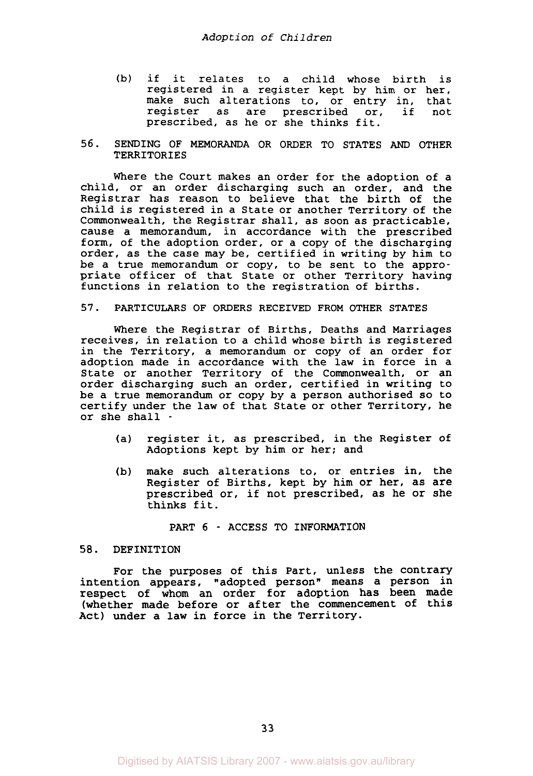- (b) if it relates to a child whose birth is registered in a register kept by him or her, make such alterations to, or entry in, that<br>register as are prescribed or, if not register as are prescribed or, prescribed, as he or she thinks fit.
- 56. SENDING OF MEMORANDA OR ORDER TO STATES *AND* OTHER **TERRITORIES**

Where the Court makes an order for the adoption of a child, or an order discharging such an order, and the Registrar has reason to believe that the birth of the child is registered in a State or another Territory of the Commonwealth, the Registrar shall, as soon as practicable, cause a memorandum, in accordance with the prescribed form, of the adoption order, or a copy of the discharging order, as the case may be, certified in writing by him to be a true memorandum or copy, to be sent to the appropriate officer of that State or other Territory having functions in relation to the registration of births.

#### *57.* PARTICULARS OF ORDERS RECEIVED FROM OTHER STATES

Where the Registrar of Births, Deaths and Marriages receives, in relation to a child whose birth is registered in the Territory, a memorandum or copy of an order for adoption made in accordance with the law in force in a State or another Territory of the Commonwealth, or an order discharging such an order, certified in writing to be a true memorandum or copy by a person authorised so to certify under the law of that State or other Territory, he or she shall -

- (a) register it, as prescribed, in the Register of Adoptions kept by him or her; and
- (b) make such alterations to, or entries in, the Register of Births, kept by him or her, as are prescribed or, if not prescribed, as he or she thinks fit.

## PART 6 - ACCESS TO INFORMATION

## **58.** DEFINITION

For the purposes of this Part, unless the contrary intention appears, "adopted person" means a person in respect of whom an order for adoption has been made (whether made before or after the commencement of this Act) under a law in force in the Territory.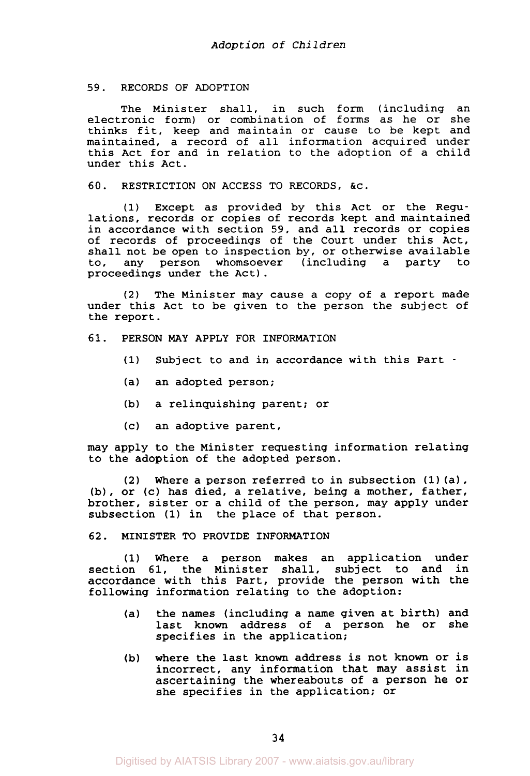## 59. RECORDS OF ADOPTION

The Minister shall, in such form (including an electronic form) or combination of forms as he or she thinks fit, keep and maintain or cause to be kept and maintained, a record of all information acquired under this Act for and in relation to the adoption of a child under this Act.

60. RESTRICTION ON ACCESS TO RECORDS, &c.

(1) Except as provided by this Act or the Regulations, records or copies of records kept and maintained in accordance with section 59, and all records or copies of records of proceedings of the Court under this Act, shall not be open to inspection by, or otherwise available<br>to, any person whomsoever (including a party to any person whomsoever (including a party to proceedings under the Act) .

**(2)** The Minister may cause a copy of a report made under this Act to be given to the person the subject of the report.

# 61. PERSON MAY APPLY FOR INFORMATION

- (1) Subject to and in accordance with this Part -
- (a) an adopted person;
- (b) a relinquishing parent; or
- (c) an adoptive parent,

may apply to the Minister requesting information relating to the adoption of the adopted person.

*(2)* Where a person referred to in subsection **(1)** (a), (b), or (c) has died, a relative, being a mother, father, brother, sister or a child of the person, may apply under subsection **(1)** in the place of that person.

#### *62.* MINISTER TO PROVIDE INFORMATION

(1) Where a person makes an application under section 61, the Minister shall, subject to and in accordance with this Part, provide the person with the following information relating to the adoption:

- (a) the names (including a name given at birth) and last known address of a person he or she specifies in the application;
- (b) where the last known address is not known or is incorrect, any information that may assist in ascertaining the whereabouts of a person he or she specifies in the application; or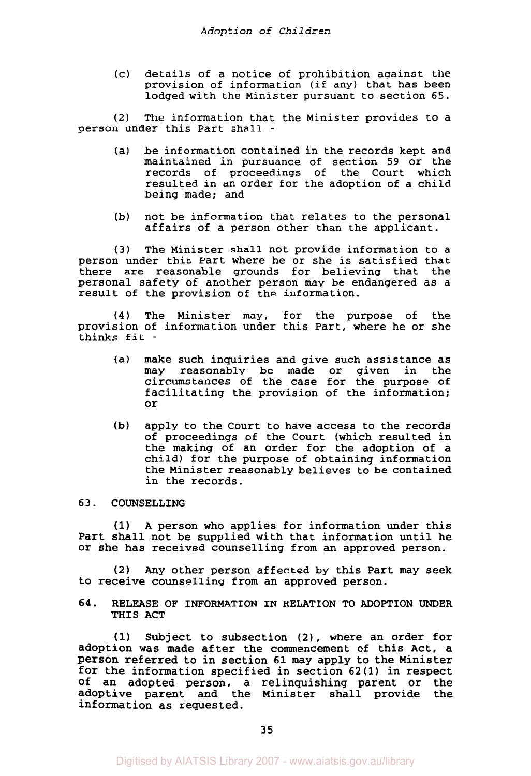(c) details of a notice of prohibition against the provision of information (if any) that has been lodged with the Minister pursuant to section 65.

**(2)** The information that the Minister provides to a person under this Part shall -

- (a) be information contained in the records kept and maintained in pursuance of section 59 or the records of proceedings of the Court which resulted in an order for the adoption of a child being made; and
- (b) not be information that relates to the personal affairs of a person other than the applicant.

**(3)** The Minister shall not provide information to **a**  person under this Part where he or she is satisfied that there are reasonable grounds for believing that the personal safety of another person may be endangered as a result of the provision of the information.

**(4)** The Minister may, for the purpose of the provision of information under this Part, where he or she thinks fit -

- (a) make such inquiries and give such assistance as<br>may reasonably be made or given in the may reasonably be made or given in circumstances of the case for the purpose of facilitating the provision of the information; or
- **(b)** apply to the Court to have access to the records of proceedings of the Court (which resulted in the making of an order for the adoption of a child) for the purpose of obtaining information the Minister reasonably believes to be contained in the records.

# 63. COUNSELLING

**(1)** A person who applies for information under this Part shall not be supplied with that information until he or she has received counselling from an approved person.

**(2)** Any other person affected by this Part may seek to receive counselling from an approved person.

**64.** RELEASE OF INFORMATION IN RELATION TO ADOPTION UNDER **THIS ACT** 

(1) Subject to subsection **(21,** where an order for adoption was made after the commencement of this Act, **a**  Person referred to in section 61 may apply to the Minister for the information specified in section **62(1)** in respect of an adopted person, a relinquishing parent or the adoptive parent and the Minister shall provide the information as requested.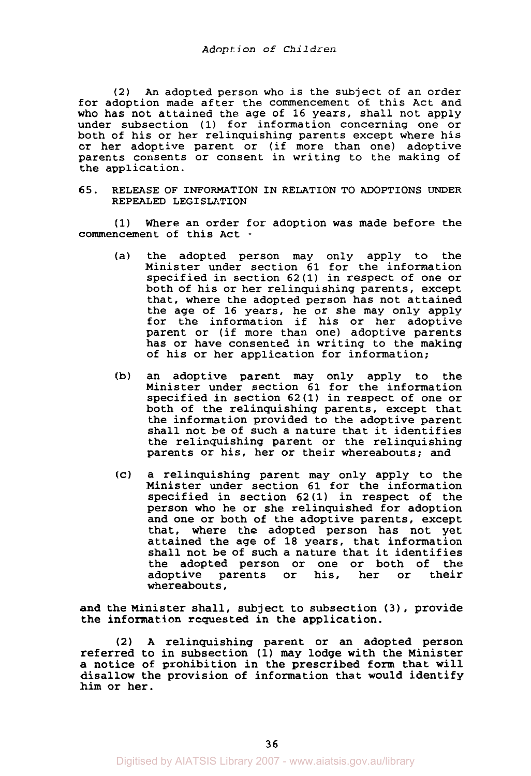(2) *An* adopted person who is the subject of an order for adoption made after the commencement of this Act and who has not attained the age of 16 years, shall not apply under subsection **(1)** for information concerning one or both of his or her relinquishing parents except where his or her adoptive parent or (if more than one) adoptive parents consents or consent in writing to the making of the application.

65. RELEASE OF INFORMATION IN RELATION TO ADOPTIONS UNDER REPEALED LEGISLATION

**(1)** Where an order for adoption was made before the commencement of this Act -

- (a) the adopted person may only apply to the Minister under section 61 for the information specified in section 62(1) in respect of one or both of his or her relinquishing parents, except that, where the adopted person has not attained the age of 16 years, he or she may only apply for the information if his or her adoptive parent or (if more than one) adoptive parents has or have consented in writing to the making of his or her application for information;
- (b) an adoptive parent may only apply to the Minister under section 61 for the information specified in section **62(1)** in respect of one or both of the relinquishing parents, except that the information provided to the adoptive parent shall not be of such a nature that it identifies the relinquishing parent or the relinquishing parents or his, her or their whereabouts; and
- (c) a relinquishing parent may only apply to the Minister under section 61 for the information specified in section **62(1)** in respect of the person who he or she relinquished for adoption and one or both of the adoptive parents, except that, where the adopted person has not yet attained the age of 18 years, that information shall not be of such a nature that it identifies the adopted person or one or both of the<br>adoptive parents or his, her or their parents or his, whereabouts,

and the Minister shall, subject to subsection **(3)** , provide the information requested in the application.

**(2) A** relinquishing parent or an adopted person referred to in subsection (1) **may** lodge with the Minister a notice of prohibition in the prescribed form that will disallow the provision of information that would identify him or her.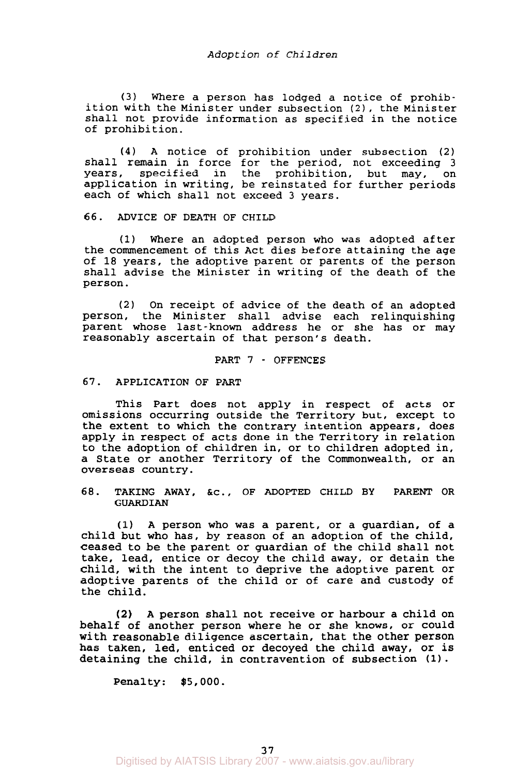(3) Where a person has lodged a notice of prohibition with the Minister under subsection **(2),** the Minister shall not provide information as specified in the notice of prohibition.

**(4)** A notice of prohibition under subsection **(2)**  shall remain in force for the period, not exceeding 3 years, specified in the prohibition, but may, on specified in the prohibition, but may, on application in writing, be reinstated for further periods each of which shall not exceed 3 years.

**66.** ADVICE **OF** DEATH OF CHILD

**(1)** Where an adopted person who was adopted after the commencement of this Act dies before attaining the age of **18** years, the adoptive parent or parents of the person shall advise the Minister in writing of the death of the person.

**(2)** On receipt of advice of the death of an adopted person, the Minister shall advise each relinquishing parent whose last-known address he or she has or may reasonably ascertain of that person's death.

# PART 7 - OFFENCES

# **67.** APPLICATION **OF** PART

This Part does not apply in respect of acts or omissions occurring outside the Territory but, except to the extent to which the contrary intention appears, does apply in respect of acts done in the Territory in relation to the adoption of children in, or to children adopted in, a State or another Territory of the Commonwealth, or an overseas country.

**68.** TAKING AWAY, &C., OF ADOPTED CHILD BY **PARENT** OR GUARDIAN

**(1)** A person who was a parent, or a guardian, of a child but who has, by reason of an adoption of the child, ceased to be the parent or guardian of the child shall not take, lead, entice or decoy the child away, or detain the child, with the intent to deprive the adoptive parent or adoptive parents of the child or of care and custody of the child.

**(2) A** person shall not receive or harbour a child on behalf of another person where he or she knows, or could with reasonable diligence ascertain, that the other person has taken, led, enticed or decoyed the child away, or is detaining the child, in contravention of subsection **(1).** 

Penalty: \$5,000.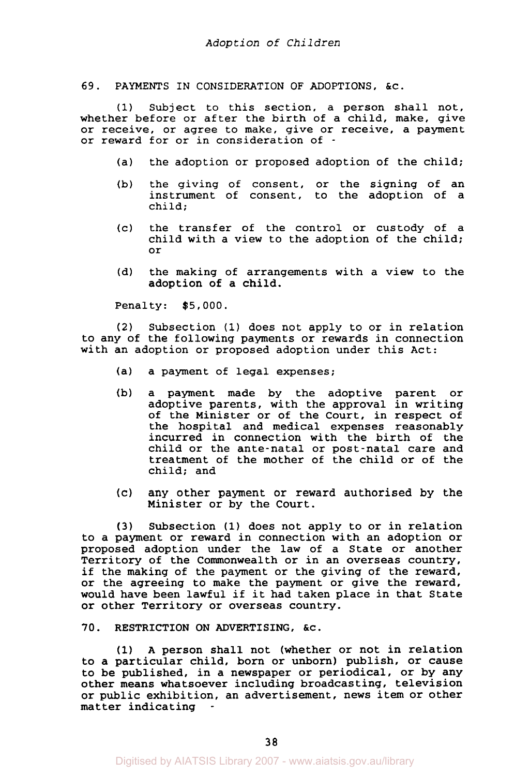#### 69. PAYMENTS IN CONSIDERATION OF ADOPTIONS, &C.

(1) Subject to this section, a person shall not, whether before or after the birth of a child, make, give or receive, or agree to make, give or receive, a payment or reward for or in consideration of -

- (a) the adoption or proposed adoption of the child;
- (b) the giving of consent, or the signing of an instrument of consent, to the adoption of a child;
- (c) the transfer of the control or custody of a child with a view to the adoption of the child; or
- (d) the making of arrangements with a view to the adoption of a child.

Penalty: \$5,000.

**(2)** Subsection **(1)** does not apply to or in relation to any of the following payments or rewards in connection with an adoption or proposed adoption under this Act:

- (a) a payment of legal expenses;
- (b) a payment made by the adoptive parent or adoptive parents, with the approval in writing of the Minister or of the Court, in respect of the hospital and medical expenses reasonably incurred in connection with the birth of the child or the ante-natal or post-natal care and treatment of the mother of the child or of the child; and
- (c) any other payment or reward authorised by the Minister or by the Court.

**(3)** Subsection **(1)** does not apply to or in relation to a payment or reward in connection with an adoption or proposed adoption under the law of a State or another Territory of the Commonwealth or in an overseas country, if the making of the payment or the giving of the reward, or the agreeing to make the payment or give the reward, would have been lawful if it had taken place in that State or other Territory or overseas country.

70. RESTRICTION ON ADVERTISING, &c.

**(1) A** person shall not (whether or not in relation to a particular child, born or unborn) publish, or cause to be published, in a newspaper or periodical, or by any other means whatsoever including broadcasting, television or public exhibition, an advertisement, news item or other matter indicating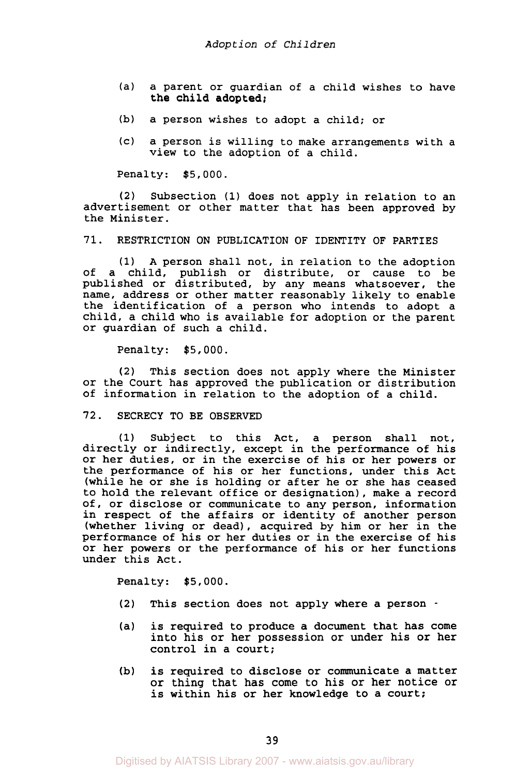- (a) a parent or guardian of a child wishes to have the child adopted;
- (b) a person wishes to adopt a child; or
- (c) a person is willing to make arrangements with a view to the adoption of a child.

Penalty: \$5,000.

**(2)** Subsection **(1)** does not apply in relation to an advertisement or other matter that has been approved by the Minister .

71. RESTRICTION ON PUBLICATION OF IDENTITY OF PARTIES

**(1)** A person shall not, in relation to the adoption of a child, publish or distribute, or cause to be published or distributed, by any means whatsoever, the name, address or other matter reasonably likely to enable the identification of a person who intends to adopt a child, a child who is available for adoption or the parent or guardian of such a child.

Penalty: \$5,000.

**(2)** This section does not apply where the Minister or the Court has approved the publication or distribution of information in relation to the adoption of a child.

#### *72.* SECRECY TO BE OBSERVED

**(1)** Subject to this Act, a person shall not, directly or indirectly, except in the performance of his or her duties, or in the exercise of his or her powers or the performance of his or her functions, under this Act (while he or she is holding or after he or she has ceased to hold the relevant office or designation), make a record of, or disclose or communicate to any person, information in respect of the affairs or identity of another person (whether living or dead), acquired by him or her in the performance of his or her duties or in the exercise of his or her powers or the performance of his or her functions under this Act.

Penalty: \$5,000.

- **(2)** This section does not apply where a person -
- (a) is required to produce a document that has come into his or her possession or under his or her control in a court;
- **(b)** is required to disclose or communicate a matter or thing that has come to his or her notice or is within his or her knowledge to a court;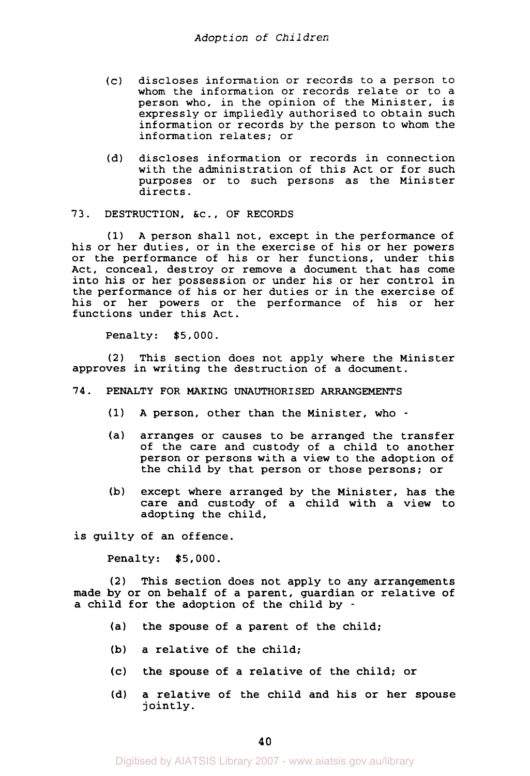- (c) discloses information or records to a person to whom the information or records relate or to a person who, in the opinion of the Minister, is expressly or impliedly authorised to obtain such information or records by the person to whom the information relates; or
- $(d)$ discloses information or records in connection with the administration of this Act or for such purposes or to such persons as the Minister directs.

## **73.** DESTRUCTION, &c., OF RECORDS

**(1)** A person shall not, except in the performance of his or her duties, or in the exercise of his or her powers or the performance of his or her functions, under this Act, conceal, destroy or remove a document that has come into his or her possession or under his or her control in the performance of his or her duties or in the exercise of his or her powers or the performance of his or her functions under this Act.

Penalty: \$5,000.

**(2)** This section does not apply where the Minister approves in writing the destruction of a document.

- **74.** PENALTY FOR MAKING UNAUTHORISED ARRANGEMENTS
	- **(1) A** person, other than the Minister, who -
	- (a) arranges or causes to be arranged the transfer of the care and custody of a child to another person or persons with a view to the adoption of the child by that person or those persons; or
	- (b) except where arranged by the Minister, has the care and custody of a child with a view to adopting the child,

is guilty of an offence.

Penalty: \$5,000.

**(2)** This section does not apply to any arrangements made by or on behalf of a parent, guardian or relative of a child for the adoption of the child by -

- (a) the spouse of a parent of the child;
- **(b)** a relative of the child;
- (c) the spouse of a relative of the child; or
- (d) a relative of the child and his or her spouse jointly .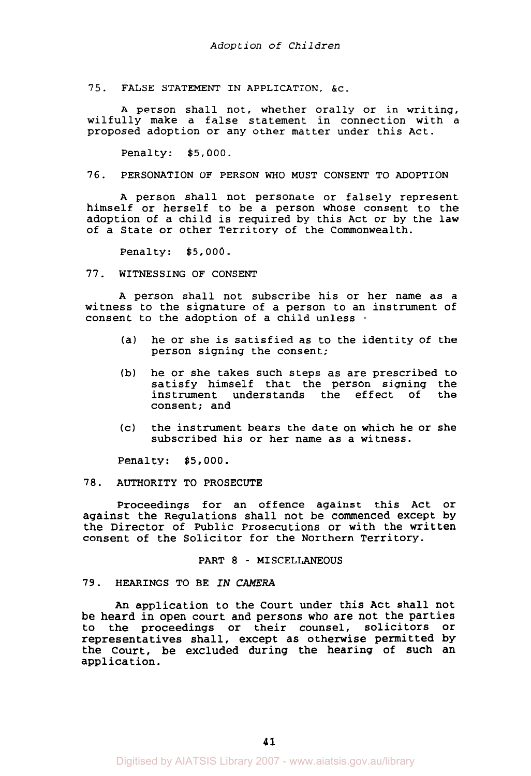75. FALSE STATEMENT IN APPLICATION, &C.

A person shall not, whether orally or in writing, wilfully make a false statement in connection with a proposed adoption or any other matter under this Act.

Penalty: \$5,000.

76. PERSONATION OF PERSON WHO MUST CONSENT TO ADOPTION

A person shall not personate or falsely represent himself or herself to be a person whose consent to the adoption of a child is required by this Act or by the law of a State or other Territory of the Commonwealth.

Penalty: \$5,000.

77. WITNESSING OF CONSENT

A person shall not subscribe his or her name as a witness to the signature of a person to an instrument of consent to the adoption of a child unless -

- (a) he or she is satisfied as to the identity of the person signing the consent;
- (b) he or she takes such steps as are prescribed to satisfy himself that the person signing the instrument understands the effect of the consent; and
- (c) the instrument bears the date on which he or she subscribed his or her name as a witness.

Penalty: \$5,000.

#### 78. AUTHORITY TO PROSECUTE

Proceedings for an offence against this Act or against the Regulations shall not be commenced except by the Director of Public Prosecutions or with the written consent of the Solicitor for the Northern Territory.

## PART *8* - MISCELLANEOUS

#### 79. HEARINGS TO BE IN *CAMERA*

*An* application to the Court under this Act shall not be heard in open court and persons who are not the parties to the proceedings or their counsel, solicitors or representatives shall, except as otherwise permitted by the Court, be excluded during the hearing of such an application.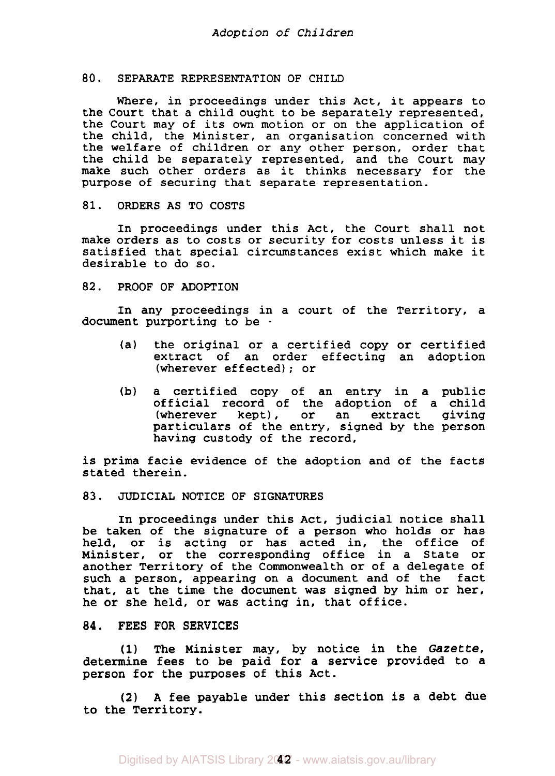#### *80.* SEPARATE REPRESENTATION OF CHILD

Where, in proceedings under this Act, it appears to the Court that a child ought to be separately represented, the Court may of its **own** motion or on the application of the child, the Minister, an organisation concerned with the welfare of children or any other person, order that the child be separately represented, and the Court may make such other orders as it thinks necessary for the purpose of securing that separate representation.

## 81. ORDERS AS TO COSTS

In proceedings under this Act, the Court shall not make orders as to costs or security for costs unless it is satisfied that special circumstances exist which make it desirable to do so.

## 82. PROOF OF ADOPTION

In any proceedings in a court of the Territory, a document purporting to be -

- (a) the original or a certified copy or certified extract of an order effecting an adoption (wherever effected); or
- (b) a certified copy of an entry in a public official record of the adoption of a child<br>(wherever kept), or an extract giving extract particulars of the entry, signed by the person having custody of the record,

is prima facie evidence of the adoption and of the facts stated therein.

# **83.** JUDICIAL NOTICE OF SIGNATURES

In proceedings under this Act, judicial notice shall be taken of the signature of a person who holds or has held, or is acting or has acted in, the office of Minister, or the corresponding office in a State or another Territory of the Commonwealth or of a delegate of such a person, appearing on a document and of the fact that, at the time the document was signed by him or her, he or she held, or was acting in, that office.

# **84.** FEES FOR SERVICES

**(1)** The Minister may, by notice in the Gazette, determine fees to be paid for a service provided to a person for the purposes of this Act.

**(2) A** fee payable under this section is a debt due to the Territory.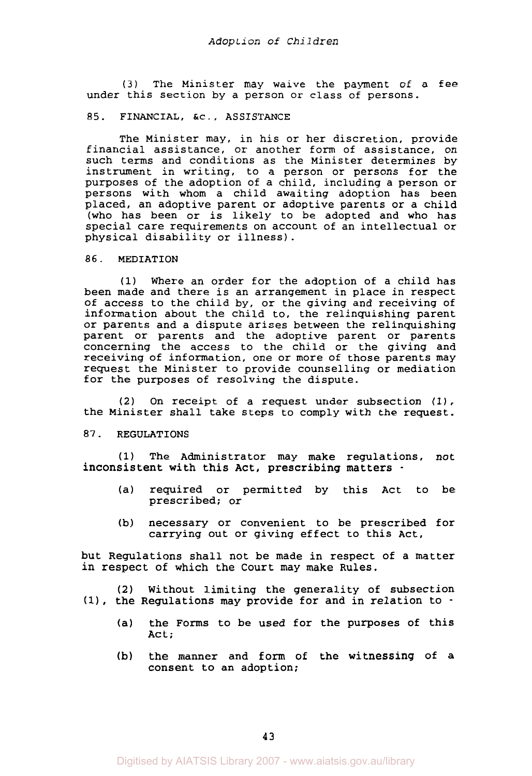**(3)** The Minister may waive the payment of a fee under this section by a person or class of persons.

## 85. FINANCIAL, &c., ASSISTANCE

The Minister may, in his or her discretion, provide financial assistance, or another form of assistance, on such terms and conditions as the Minister determines by instrument in writing, to a person or persons for the purposes of the adoption of a child, including a person or persons with whom a child awaiting adoption has been placed, an adoptive parent or adoptive parents or a child (who has been or is likely to be adopted and who has special care requirements on account of an intellectual or physical disability or illness).

#### 86. MEDIATION

**(1)** Where an order for the adoption of a child has been made and there is an arrangement in place in respect of access to the child by, or the giving and receiving of information about the child to, the relinquishing parent or parents and a dispute arises between the relinquishing parent or parents and the adoptive parent or parents concerning the access to the child or the giving and receiving of information, one or more of those parents may request the Minister to provide counselling or mediation for the purposes of resolving the dispute.

**(2)** On receipt of a request under subsection **(11,**  the Minister shall take steps to comply with the request.

# 87. REGULATIONS

**(1)** The Administrator may make regulations, not inconsistent with this Act, prescribing matters -

- (a) required or permitted by this Act to be prescribed; or
- (b) necessary or convenient to be prescribed for carrying out or giving effect to this Act,

but Regulations shall not be made in respect of a matter in respect of which the Court may make Rules.

**(2)** Without limiting the generality of subsection **(11,** the Regulations may provide for and in relation to -

- (a) the Forms to be used for the purposes of this Act;
- (b) the manner and form of the witnessing of a consent to an adoption;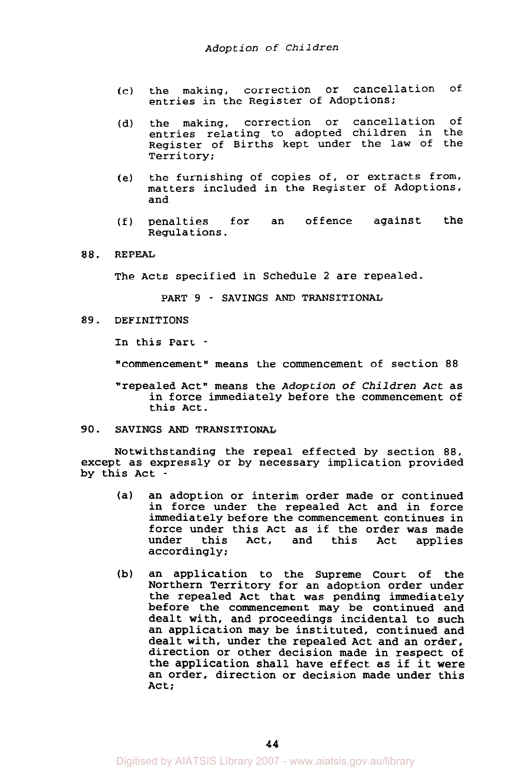- (c) the making, correction or cancellation of entries in the Register of Adoptions;
- (d) the making, correction or cancellation of entries relating to adopted children in the Register of Births kept under the law of the Territory;
- (e) the furnishing of copies of, or extracts from, matters included in the Register of Adoptions, and
- (f) penalties for an offence against the Regulations.
- **88.**  REPEAL

The Acts specified in Schedule **2** are repealed.

PART 9 - SAVINGS *AND* TRANSITIONAL

**89.**  DEFINITIONS

In this Part -

"commencement" means the commencement of section *88* 

"repealed Act" means the *Adoption* of *Children Act* as in force immediately before the commencement of this Act.

#### **90.**  SAVINGS *AND* TRANSITIONAL

Notwithstanding the repeal effected by section 88, except as expressly or by necessary implication provided by this Act -

- (a) an adoption or interim order made or continued in force under the repealed Act and in force immediately before the commencement continues in force under this Act as if the order was made<br>under this Act, and this Act applies applies accordingly;
- (b) an application to the Supreme Court of the Northern Territory for an adoption order under the repealed Act that was pending immediately before the commencement may be continued and dealt with, and proceedings incidental to such an application may be instituted, continued and dealt with, under the repealed Act and an order, direction or other decision made in respect of the application shall have effect as if it were an order, direction or decision made under this Act;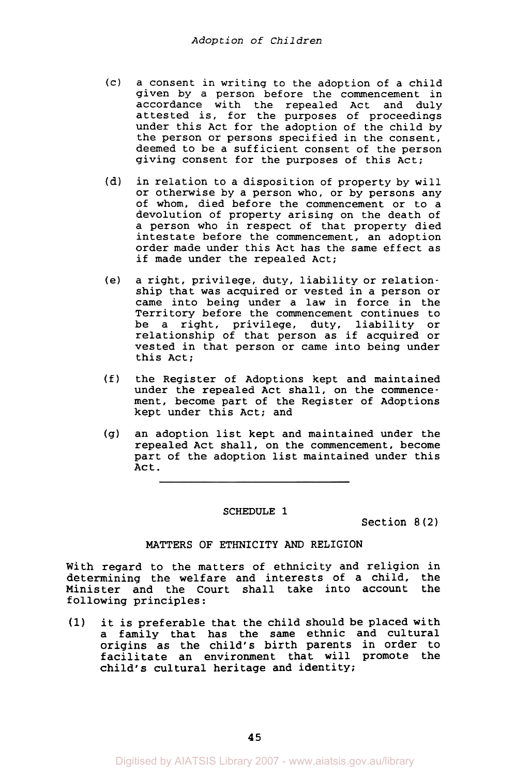- (c) a consent in writing to the adoption of a child given by a person before the commencement in accordance with the repealed Act and duly attested is, for the purposes of proceedings under this Act for the adoption of the child by the person or persons specified in the consent, deemed to be a sufficient consent of the person giving consent for the purposes of this Act;
- in relation to a disposition of property by will or otherwise by a person who, or by persons any of whom, died before the commencement or to a devolution of property arising on the death of a person who in respect of that property died intestate before the commencement, an adoption order made under this Act has the same effect as if made under the repealed Act; (d)
- (e) a right, privilege, duty, liability or relationship that was acquired or vested in a person or came into being under a law in force in the Territory before the commencement continues to be a right, privilege, duty, liability or relationship of that person as if acquired or vested in that person or came into being under this Act;
- (f) the Register of Adoptions kept and maintained under the repealed Act shall, on the commencement, become part of the Register of Adoptions kept under this Act; and
- (9) an adoption list kept and maintained under the repealed Act shall, on the commencement, become part of the adoption list maintained under this Act.

#### SCHEDULE **1**

Section *8(2)* 

## MATTERS OF ETHNICITY *AND* RELIGION

With regard to the matters of ethnicity and religion in determining the welfare and interests of a child, the<br>Minister and the Court shall take into account the Minister and the Court shall take into account following principles:

**(1)** it is preferable that the child should be placed with a family that has the same ethnic and cultural origins as the child's birth parents in order to facilitate an environment that will promote the child's cultural heritage and identity;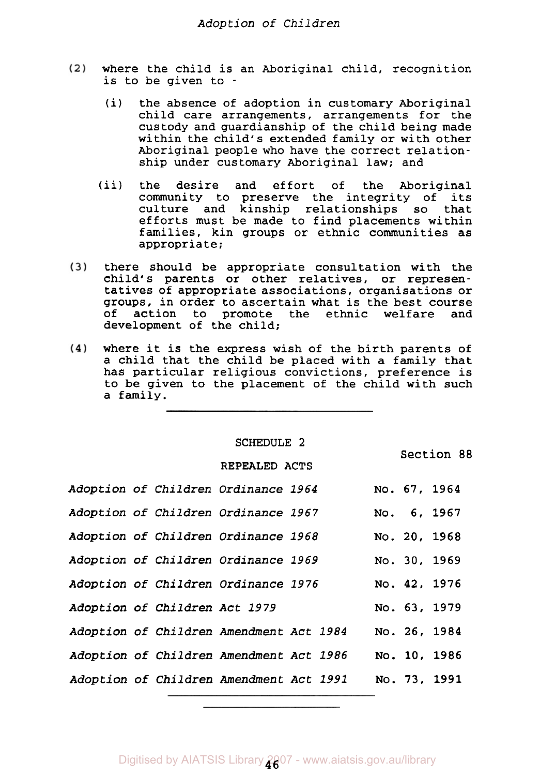- where the child is an Aboriginal child, recognition  $(2)$ is to be given to -
	- (i) the absence of adoption in customary Aboriginal child care arrangements, arrangements for the custody and guardianship of the child being made within the child's extended family or with other Aboriginal people who have the correct relationship under customary Aboriginal law; and
	- (ii) the desire and effort of the Aboriginal community to preserve the integrity of its culture and kinship relationships so that efforts must be made to find placements within families, kin groups or ethnic communities as appropriate;
- $(3)$ there should be appropriate consultation with the child's parents or other relatives, or representatives of appropriate associations, organisations or groups, in order to ascertain what is the best course<br>of action to promote the ethnic welfare and action to promote the ethnic welfare and development of the child;
- $(4)$ where it is the express wish of the birth parents of a child that the child be placed with a family that has particular religious convictions, preference is to be given to the placement of the child with such a family.

**SCHEDULE 2 REPEALED ACTS** 

Section **88** 

|  |                               | Adoption of Children Ordinance 1964        |  |  | No. 67, 1964 |  |
|--|-------------------------------|--------------------------------------------|--|--|--------------|--|
|  |                               | <i>Adoption of Children Ordinance 1967</i> |  |  | No. 6, 1967  |  |
|  |                               | Adoption of Children Ordinance 1968        |  |  | No. 20, 1968 |  |
|  |                               | Adoption of Children Ordinance 1969        |  |  | No. 30, 1969 |  |
|  |                               | Adoption of Children Ordinance 1976        |  |  | No. 42, 1976 |  |
|  | Adoption of Children Act 1979 |                                            |  |  | No. 63, 1979 |  |
|  |                               | Adoption of Children Amendment Act 1984    |  |  | No. 26, 1984 |  |
|  |                               | Adoption of Children Amendment Act 1986    |  |  | No. 10, 1986 |  |
|  |                               | Adoption of Children Amendment Act 1991    |  |  | No. 73, 1991 |  |
|  |                               |                                            |  |  |              |  |